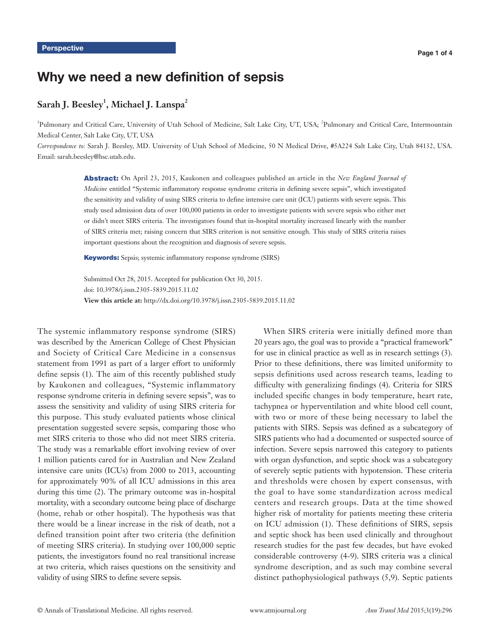# Why we need a new definition of sepsis

# $\operatorname{\sf Sarah}$   $\operatorname{\sf J}$ .  $\operatorname{\sf Beesley}^1$ ,  $\operatorname{\sf Michael}$   $\operatorname{\sf J}$ .  $\operatorname{\sf Lanspa}^2$

<sup>1</sup>Pulmonary and Critical Care, University of Utah School of Medicine, Salt Lake City, UT, USA; <sup>2</sup>Pulmonary and Critical Care, Intermountain Medical Center, Salt Lake City, UT, USA

*Correspondence to:* Sarah J. Beesley, MD. University of Utah School of Medicine, 50 N Medical Drive, #5A224 Salt Lake City, Utah 84132, USA. Email: sarah.beesley@hsc.utah.edu.

> Abstract: On April 23, 2015, Kaukonen and colleagues published an article in the *New England Journal of Medicine* entitled "Systemic inflammatory response syndrome criteria in defining severe sepsis", which investigated the sensitivity and validity of using SIRS criteria to define intensive care unit (ICU) patients with severe sepsis. This study used admission data of over 100,000 patients in order to investigate patients with severe sepsis who either met or didn't meet SIRS criteria. The investigators found that in-hospital mortality increased linearly with the number of SIRS criteria met; raising concern that SIRS criterion is not sensitive enough. This study of SIRS criteria raises important questions about the recognition and diagnosis of severe sepsis.

Keywords: Sepsis; systemic inflammatory response syndrome (SIRS)

Submitted Oct 28, 2015. Accepted for publication Oct 30, 2015. doi: 10.3978/j.issn.2305-5839.2015.11.02 **View this article at:** http://dx.doi.org/10.3978/j.issn.2305-5839.2015.11.02

The systemic inflammatory response syndrome (SIRS) was described by the American College of Chest Physician and Society of Critical Care Medicine in a consensus statement from 1991 as part of a larger effort to uniformly define sepsis (1). The aim of this recently published study by Kaukonen and colleagues, "Systemic inflammatory response syndrome criteria in defining severe sepsis", was to assess the sensitivity and validity of using SIRS criteria for this purpose. This study evaluated patients whose clinical presentation suggested severe sepsis, comparing those who met SIRS criteria to those who did not meet SIRS criteria. The study was a remarkable effort involving review of over 1 million patients cared for in Australian and New Zealand intensive care units (ICUs) from 2000 to 2013, accounting for approximately 90% of all ICU admissions in this area during this time (2). The primary outcome was in-hospital mortality, with a secondary outcome being place of discharge (home, rehab or other hospital). The hypothesis was that there would be a linear increase in the risk of death, not a defined transition point after two criteria (the definition of meeting SIRS criteria). In studying over 100,000 septic patients, the investigators found no real transitional increase at two criteria, which raises questions on the sensitivity and validity of using SIRS to define severe sepsis.

When SIRS criteria were initially defined more than 20 years ago, the goal was to provide a "practical framework" for use in clinical practice as well as in research settings (3). Prior to these definitions, there was limited uniformity to sepsis definitions used across research teams, leading to difficulty with generalizing findings (4). Criteria for SIRS included specific changes in body temperature, heart rate, tachypnea or hyperventilation and white blood cell count, with two or more of these being necessary to label the patients with SIRS. Sepsis was defined as a subcategory of SIRS patients who had a documented or suspected source of infection. Severe sepsis narrowed this category to patients with organ dysfunction, and septic shock was a subcategory of severely septic patients with hypotension. These criteria and thresholds were chosen by expert consensus, with the goal to have some standardization across medical centers and research groups. Data at the time showed higher risk of mortality for patients meeting these criteria on ICU admission (1). These definitions of SIRS, sepsis and septic shock has been used clinically and throughout research studies for the past few decades, but have evoked considerable controversy (4-9). SIRS criteria was a clinical syndrome description, and as such may combine several distinct pathophysiological pathways (5,9). Septic patients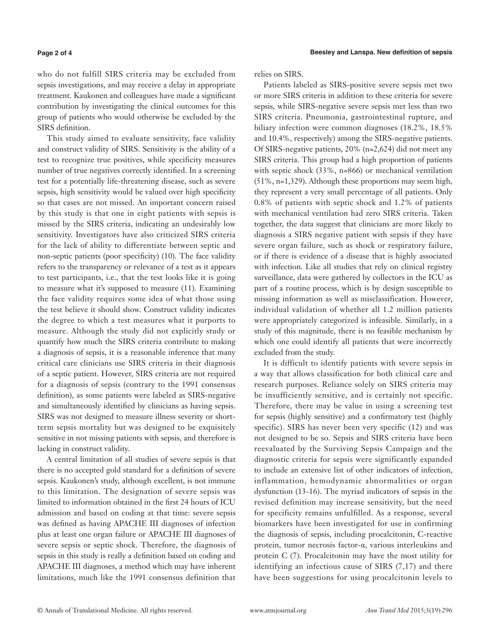#### **Page 2 of 4**

who do not fulfill SIRS criteria may be excluded from sepsis investigations, and may receive a delay in appropriate treatment. Kaukonen and colleagues have made a significant contribution by investigating the clinical outcomes for this group of patients who would otherwise be excluded by the SIRS definition.

This study aimed to evaluate sensitivity, face validity and construct validity of SIRS. Sensitivity is the ability of a test to recognize true positives, while specificity measures number of true negatives correctly identified. In a screening test for a potentially life-threatening disease, such as severe sepsis, high sensitivity would be valued over high specificity so that cases are not missed. An important concern raised by this study is that one in eight patients with sepsis is missed by the SIRS criteria, indicating an undesirably low sensitivity. Investigators have also criticized SIRS criteria for the lack of ability to differentiate between septic and non-septic patients (poor specificity) (10). The face validity refers to the transparency or relevance of a test as it appears to test participants, i.e., that the test looks like it is going to measure what it's supposed to measure (11). Examining the face validity requires some idea of what those using the test believe it should show. Construct validity indicates the degree to which a test measures what it purports to measure. Although the study did not explicitly study or quantify how much the SIRS criteria contribute to making a diagnosis of sepsis, it is a reasonable inference that many critical care clinicians use SIRS criteria in their diagnosis of a septic patient. However, SIRS criteria are not required for a diagnosis of sepsis (contrary to the 1991 consensus definition), as some patients were labeled as SIRS-negative and simultaneously identified by clinicians as having sepsis. SIRS was not designed to measure illness severity or shortterm sepsis mortality but was designed to be exquisitely sensitive in not missing patients with sepsis, and therefore is lacking in construct validity.

A central limitation of all studies of severe sepsis is that there is no accepted gold standard for a definition of severe sepsis. Kaukonen's study, although excellent, is not immune to this limitation. The designation of severe sepsis was limited to information obtained in the first 24 hours of ICU admission and based on coding at that time: severe sepsis was defined as having APACHE III diagnoses of infection plus at least one organ failure or APACHE III diagnoses of severe sepsis or septic shock. Therefore, the diagnosis of sepsis in this study is really a definition based on coding and APACHE III diagnoses, a method which may have inherent limitations, much like the 1991 consensus definition that relies on SIRS.

Patients labeled as SIRS-positive severe sepsis met two or more SIRS criteria in addition to these criteria for severe sepsis, while SIRS-negative severe sepsis met less than two SIRS criteria. Pneumonia, gastrointestinal rupture, and biliary infection were common diagnoses (18.2%, 18.5% and 10.4%, respectively) among the SIRS-negative patients. Of SIRS-negative patients, 20% (n=2,624) did not meet any SIRS criteria. This group had a high proportion of patients with septic shock (33%, n=866) or mechanical ventilation (51%, n=1,329). Although these proportions may seem high, they represent a very small percentage of all patients. Only 0.8% of patients with septic shock and 1.2% of patients with mechanical ventilation had zero SIRS criteria. Taken together, the data suggest that clinicians are more likely to diagnosis a SIRS negative patient with sepsis if they have severe organ failure, such as shock or respiratory failure, or if there is evidence of a disease that is highly associated with infection. Like all studies that rely on clinical registry surveillance, data were gathered by collectors in the ICU as part of a routine process, which is by design susceptible to missing information as well as misclassification. However, individual validation of whether all 1.2 million patients were appropriately categorized is infeasible. Similarly, in a study of this magnitude, there is no feasible mechanism by which one could identify all patients that were incorrectly excluded from the study.

It is difficult to identify patients with severe sepsis in a way that allows classification for both clinical care and research purposes. Reliance solely on SIRS criteria may be insufficiently sensitive, and is certainly not specific. Therefore, there may be value in using a screening test for sepsis (highly sensitive) and a confirmatory test (highly specific). SIRS has never been very specific (12) and was not designed to be so. Sepsis and SIRS criteria have been reevaluated by the Surviving Sepsis Campaign and the diagnostic criteria for sepsis were significantly expanded to include an extensive list of other indicators of infection, inflammation, hemodynamic abnormalities or organ dysfunction (13-16). The myriad indicators of sepsis in the revised definition may increase sensitivity, but the need for specificity remains unfulfilled. As a response, several biomarkers have been investigated for use in confirming the diagnosis of sepsis, including procalcitonin, C-reactive protein, tumor necrosis factor-α, various interleukins and protein C (7). Procalcitonin may have the most utility for identifying an infectious cause of SIRS (7,17) and there have been suggestions for using procalcitonin levels to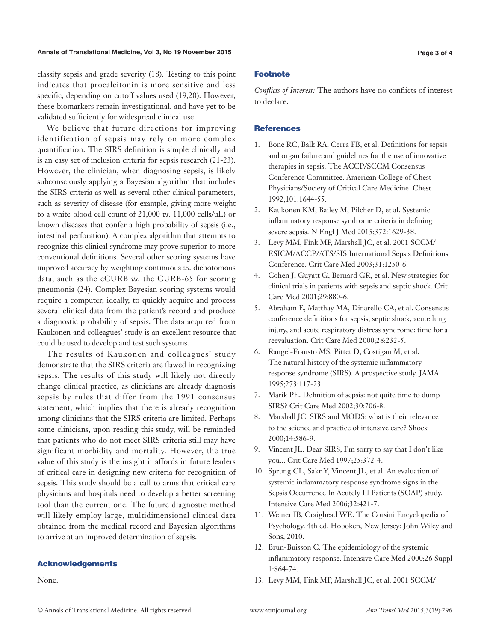#### **Annals of Translational Medicine, Vol 3, No 19 November 2015 Page 3 of 4**

classify sepsis and grade severity (18). Testing to this point indicates that procalcitonin is more sensitive and less specific, depending on cutoff values used (19,20). However, these biomarkers remain investigational, and have yet to be validated sufficiently for widespread clinical use.

We believe that future directions for improving identification of sepsis may rely on more complex quantification. The SIRS definition is simple clinically and is an easy set of inclusion criteria for sepsis research (21-23). However, the clinician, when diagnosing sepsis, is likely subconsciously applying a Bayesian algorithm that includes the SIRS criteria as well as several other clinical parameters, such as severity of disease (for example, giving more weight to a white blood cell count of 21,000 *vs*. 11,000 cells/µL) or known diseases that confer a high probability of sepsis (i.e., intestinal perforation). A complex algorithm that attempts to recognize this clinical syndrome may prove superior to more conventional definitions. Several other scoring systems have improved accuracy by weighting continuous *vs*. dichotomous data, such as the eCURB *vs*. the CURB-65 for scoring pneumonia (24). Complex Bayesian scoring systems would require a computer, ideally, to quickly acquire and process several clinical data from the patient's record and produce a diagnostic probability of sepsis. The data acquired from Kaukonen and colleagues' study is an excellent resource that could be used to develop and test such systems.

The results of Kaukonen and colleagues' study demonstrate that the SIRS criteria are flawed in recognizing sepsis. The results of this study will likely not directly change clinical practice, as clinicians are already diagnosis sepsis by rules that differ from the 1991 consensus statement, which implies that there is already recognition among clinicians that the SIRS criteria are limited. Perhaps some clinicians, upon reading this study, will be reminded that patients who do not meet SIRS criteria still may have significant morbidity and mortality. However, the true value of this study is the insight it affords in future leaders of critical care in designing new criteria for recognition of sepsis. This study should be a call to arms that critical care physicians and hospitals need to develop a better screening tool than the current one. The future diagnostic method will likely employ large, multidimensional clinical data obtained from the medical record and Bayesian algorithms to arrive at an improved determination of sepsis.

#### Acknowledgements

None.

#### Footnote

*Conflicts of Interest:* The authors have no conflicts of interest to declare.

#### **References**

- 1. Bone RC, Balk RA, Cerra FB, et al. Definitions for sepsis and organ failure and guidelines for the use of innovative therapies in sepsis. The ACCP/SCCM Consensus Conference Committee. American College of Chest Physicians/Society of Critical Care Medicine. Chest 1992;101:1644-55.
- 2. Kaukonen KM, Bailey M, Pilcher D, et al. Systemic inflammatory response syndrome criteria in defining severe sepsis. N Engl J Med 2015;372:1629-38.
- 3. Levy MM, Fink MP, Marshall JC, et al. 2001 SCCM/ ESICM/ACCP/ATS/SIS International Sepsis Definitions Conference. Crit Care Med 2003;31:1250-6.
- 4. Cohen J, Guyatt G, Bernard GR, et al. New strategies for clinical trials in patients with sepsis and septic shock. Crit Care Med 2001;29:880-6.
- 5. Abraham E, Matthay MA, Dinarello CA, et al. Consensus conference definitions for sepsis, septic shock, acute lung injury, and acute respiratory distress syndrome: time for a reevaluation. Crit Care Med 2000;28:232-5.
- 6. Rangel-Frausto MS, Pittet D, Costigan M, et al. The natural history of the systemic inflammatory response syndrome (SIRS). A prospective study. JAMA 1995;273:117-23.
- 7. Marik PE. Definition of sepsis: not quite time to dump SIRS? Crit Care Med 2002;30:706-8.
- 8. Marshall JC. SIRS and MODS: what is their relevance to the science and practice of intensive care? Shock 2000;14:586-9.
- 9. Vincent JL. Dear SIRS, I'm sorry to say that I don't like you... Crit Care Med 1997;25:372-4.
- 10. Sprung CL, Sakr Y, Vincent JL, et al. An evaluation of systemic inflammatory response syndrome signs in the Sepsis Occurrence In Acutely Ill Patients (SOAP) study. Intensive Care Med 2006;32:421-7.
- 11. Weiner IB, Craighead WE. The Corsini Encyclopedia of Psychology. 4th ed. Hoboken, New Jersey: John Wiley and Sons, 2010.
- 12. Brun-Buisson C. The epidemiology of the systemic inflammatory response. Intensive Care Med 2000;26 Suppl 1:S64-74.
- 13. Levy MM, Fink MP, Marshall JC, et al. 2001 SCCM/